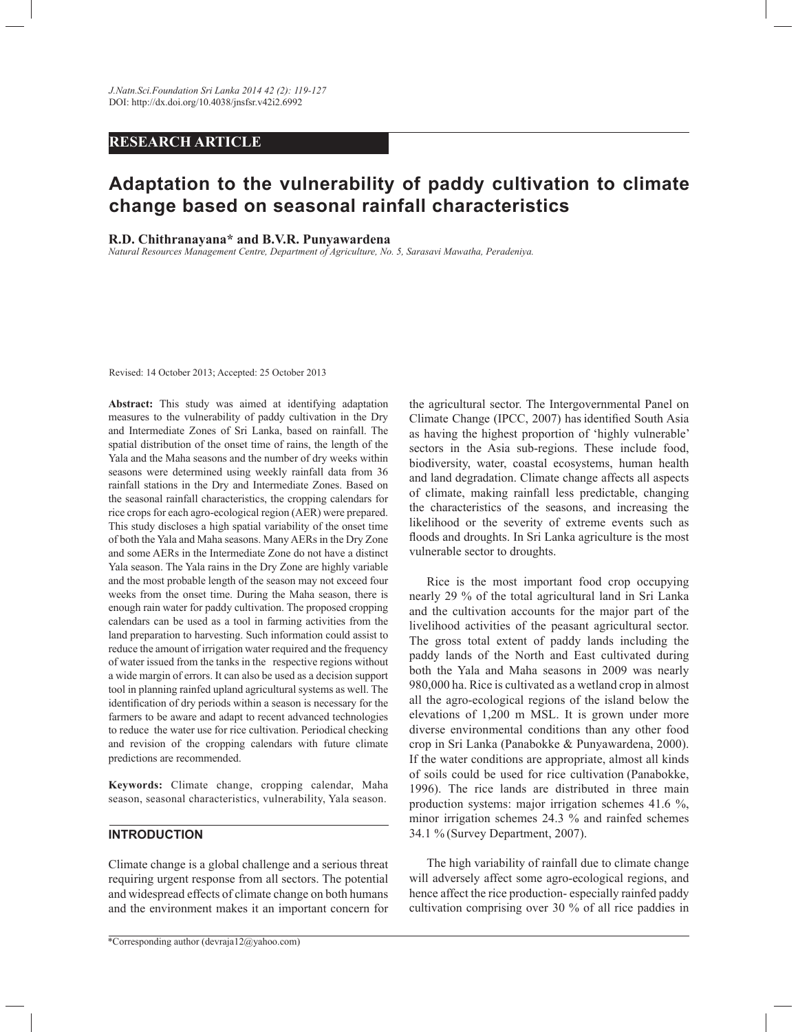## **RESEARCH ARTICLE**

# **Adaptation to the vulnerability of paddy cultivation to climate change based on seasonal rainfall characteristics**

#### **R.D. Chithranayana\* and B.V.R. Punyawardena**

*Natural Resources Management Centre, Department of Agriculture, No. 5, Sarasavi Mawatha, Peradeniya.*

Revised: 14 October 2013; Accepted: 25 October 2013

**Abstract:** This study was aimed at identifying adaptation measures to the vulnerability of paddy cultivation in the Dry and Intermediate Zones of Sri Lanka, based on rainfall. The spatial distribution of the onset time of rains, the length of the Yala and the Maha seasons and the number of dry weeks within seasons were determined using weekly rainfall data from 36 rainfall stations in the Dry and Intermediate Zones. Based on the seasonal rainfall characteristics, the cropping calendars for rice crops for each agro-ecological region (AER) were prepared. This study discloses a high spatial variability of the onset time of both the Yala and Maha seasons. Many AERs in the Dry Zone and some AERs in the Intermediate Zone do not have a distinct Yala season. The Yala rains in the Dry Zone are highly variable and the most probable length of the season may not exceed four weeks from the onset time. During the Maha season, there is enough rain water for paddy cultivation. The proposed cropping calendars can be used as a tool in farming activities from the land preparation to harvesting. Such information could assist to reduce the amount of irrigation water required and the frequency of water issued from the tanks in the respective regions without a wide margin of errors. It can also be used as a decision support tool in planning rainfed upland agricultural systems as well. The identification of dry periods within a season is necessary for the farmers to be aware and adapt to recent advanced technologies to reduce the water use for rice cultivation. Periodical checking and revision of the cropping calendars with future climate predictions are recommended.

**Keywords:** Climate change, cropping calendar, Maha season, seasonal characteristics, vulnerability, Yala season.

## **INTRODUCTION**

Climate change is a global challenge and a serious threat requiring urgent response from all sectors. The potential and widespread effects of climate change on both humans and the environment makes it an important concern for

the agricultural sector. The Intergovernmental Panel on Climate Change (IPCC, 2007) has identified South Asia as having the highest proportion of 'highly vulnerable' sectors in the Asia sub-regions. These include food, biodiversity, water, coastal ecosystems, human health and land degradation. Climate change affects all aspects of climate, making rainfall less predictable, changing the characteristics of the seasons, and increasing the likelihood or the severity of extreme events such as floods and droughts. In Sri Lanka agriculture is the most vulnerable sector to droughts.

 Rice is the most important food crop occupying nearly 29 % of the total agricultural land in Sri Lanka and the cultivation accounts for the major part of the livelihood activities of the peasant agricultural sector. The gross total extent of paddy lands including the paddy lands of the North and East cultivated during both the Yala and Maha seasons in 2009 was nearly 980,000 ha. Rice is cultivated as a wetland crop in almost all the agro-ecological regions of the island below the elevations of 1,200 m MSL. It is grown under more diverse environmental conditions than any other food crop in Sri Lanka (Panabokke & Punyawardena, 2000). If the water conditions are appropriate, almost all kinds of soils could be used for rice cultivation (Panabokke, 1996). The rice lands are distributed in three main production systems: major irrigation schemes 41.6 %, minor irrigation schemes 24.3 % and rainfed schemes 34.1 % (Survey Department, 2007).

 The high variability of rainfall due to climate change will adversely affect some agro-ecological regions, and hence affect the rice production- especially rainfed paddy cultivation comprising over 30 % of all rice paddies in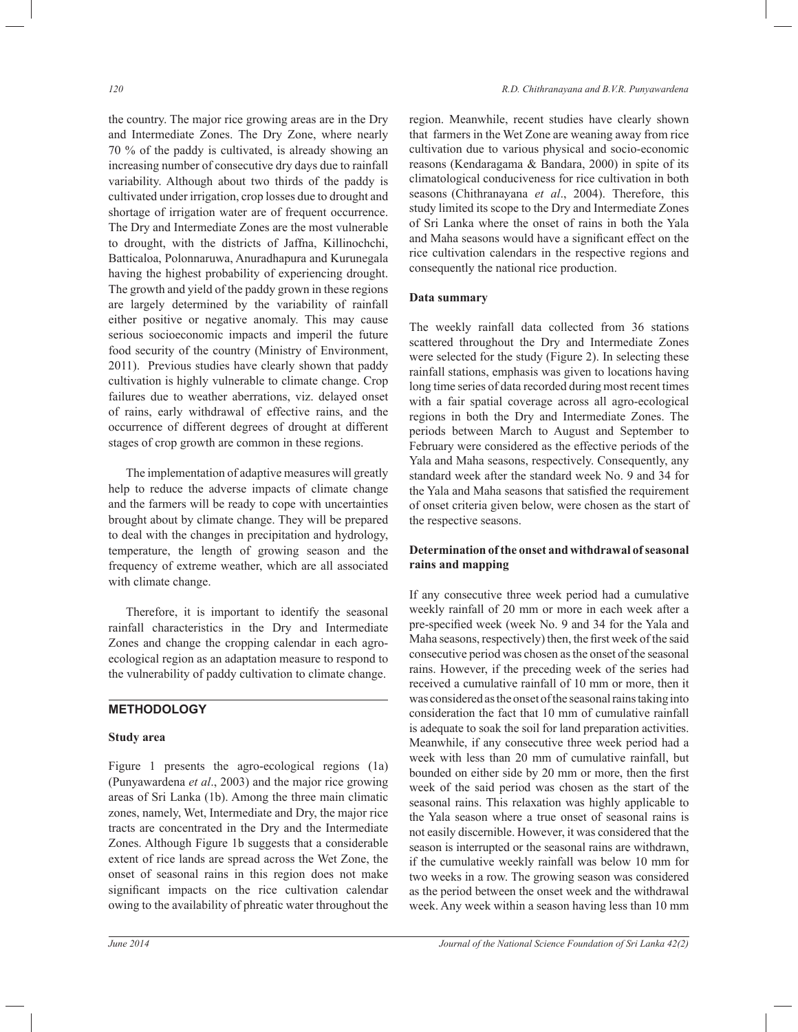the country. The major rice growing areas are in the Dry and Intermediate Zones. The Dry Zone, where nearly 70 % of the paddy is cultivated, is already showing an increasing number of consecutive dry days due to rainfall variability. Although about two thirds of the paddy is cultivated under irrigation, crop losses due to drought and shortage of irrigation water are of frequent occurrence. The Dry and Intermediate Zones are the most vulnerable to drought, with the districts of Jaffna, Killinochchi, Batticaloa, Polonnaruwa, Anuradhapura and Kurunegala having the highest probability of experiencing drought. The growth and yield of the paddy grown in these regions are largely determined by the variability of rainfall either positive or negative anomaly. This may cause serious socioeconomic impacts and imperil the future food security of the country (Ministry of Environment, 2011). Previous studies have clearly shown that paddy cultivation is highly vulnerable to climate change. Crop failures due to weather aberrations, viz. delayed onset of rains, early withdrawal of effective rains, and the occurrence of different degrees of drought at different stages of crop growth are common in these regions.

 The implementation of adaptive measures will greatly help to reduce the adverse impacts of climate change and the farmers will be ready to cope with uncertainties brought about by climate change. They will be prepared to deal with the changes in precipitation and hydrology, temperature, the length of growing season and the frequency of extreme weather, which are all associated with climate change.

 Therefore, it is important to identify the seasonal rainfall characteristics in the Dry and Intermediate Zones and change the cropping calendar in each agroecological region as an adaptation measure to respond to the vulnerability of paddy cultivation to climate change.

## **METHODOLOGY**

#### **Study area**

Figure 1 presents the agro-ecological regions (1a) (Punyawardena *et al*., 2003) and the major rice growing areas of Sri Lanka (1b). Among the three main climatic zones, namely, Wet, Intermediate and Dry, the major rice tracts are concentrated in the Dry and the Intermediate Zones. Although Figure 1b suggests that a considerable extent of rice lands are spread across the Wet Zone, the onset of seasonal rains in this region does not make significant impacts on the rice cultivation calendar owing to the availability of phreatic water throughout the

region. Meanwhile, recent studies have clearly shown that farmers in the Wet Zone are weaning away from rice cultivation due to various physical and socio-economic reasons (Kendaragama & Bandara, 2000) in spite of its climatological conduciveness for rice cultivation in both seasons (Chithranayana *et al*., 2004). Therefore, this study limited its scope to the Dry and Intermediate Zones of Sri Lanka where the onset of rains in both the Yala and Maha seasons would have a significant effect on the rice cultivation calendars in the respective regions and consequently the national rice production.

## **Data summary**

The weekly rainfall data collected from 36 stations scattered throughout the Dry and Intermediate Zones were selected for the study (Figure 2). In selecting these rainfall stations, emphasis was given to locations having long time series of data recorded during most recent times with a fair spatial coverage across all agro-ecological regions in both the Dry and Intermediate Zones. The periods between March to August and September to February were considered as the effective periods of the Yala and Maha seasons, respectively. Consequently, any standard week after the standard week No. 9 and 34 for the Yala and Maha seasons that satisfied the requirement of onset criteria given below, were chosen as the start of the respective seasons.

## **Determination of the onset and withdrawal of seasonal rains and mapping**

If any consecutive three week period had a cumulative weekly rainfall of 20 mm or more in each week after a pre-specified week (week No. 9 and 34 for the Yala and Maha seasons, respectively) then, the first week of the said consecutive period was chosen as the onset of the seasonal rains. However, if the preceding week of the series had received a cumulative rainfall of 10 mm or more, then it was considered as the onset of the seasonal rains taking into consideration the fact that 10 mm of cumulative rainfall is adequate to soak the soil for land preparation activities. Meanwhile, if any consecutive three week period had a week with less than 20 mm of cumulative rainfall, but bounded on either side by 20 mm or more, then the first week of the said period was chosen as the start of the seasonal rains. This relaxation was highly applicable to the Yala season where a true onset of seasonal rains is not easily discernible. However, it was considered that the season is interrupted or the seasonal rains are withdrawn, if the cumulative weekly rainfall was below 10 mm for two weeks in a row. The growing season was considered as the period between the onset week and the withdrawal week. Any week within a season having less than 10 mm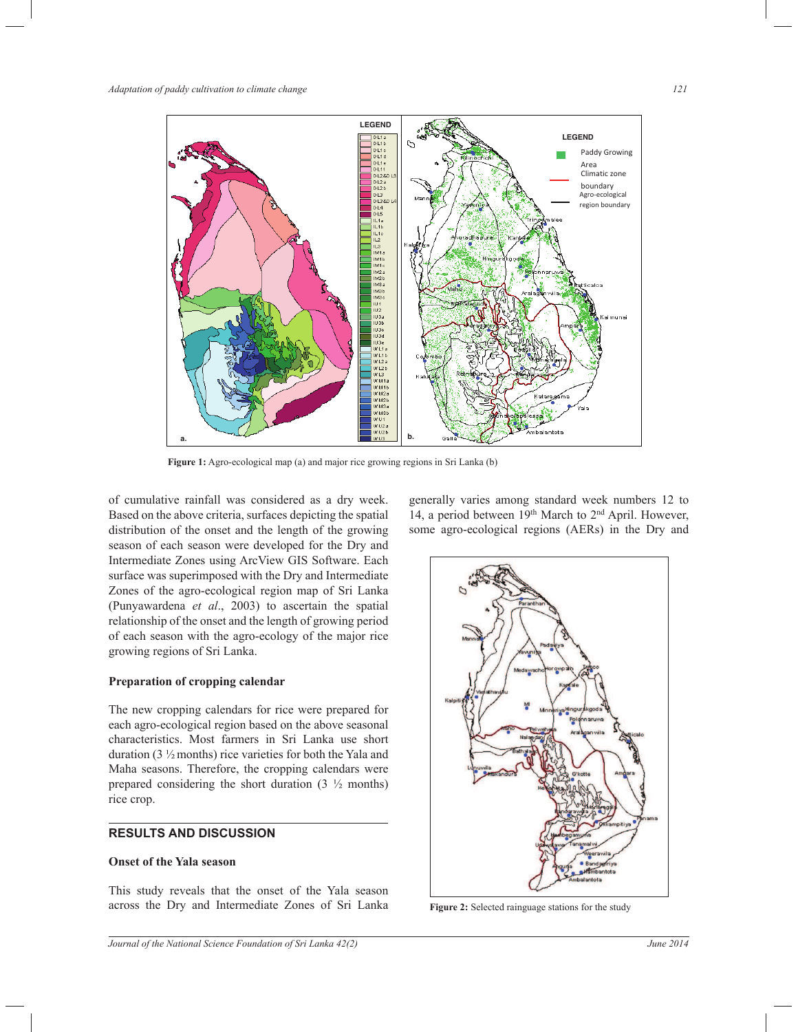

**Figure 1:** Agro-ecological map (a) and major rice growing regions in Sri Lanka (b)

of cumulative rainfall was considered as a dry week. Based on the above criteria, surfaces depicting the spatial distribution of the onset and the length of the growing season of each season were developed for the Dry and Intermediate Zones using ArcView GIS Software. Each surface was superimposed with the Dry and Intermediate Zones of the agro-ecological region map of Sri Lanka (Punyawardena *et al*., 2003) to ascertain the spatial relationship of the onset and the length of growing period of each season with the agro-ecology of the major rice growing regions of Sri Lanka.

## **Preparation of cropping calendar**

The new cropping calendars for rice were prepared for each agro-ecological region based on the above seasonal characteristics. Most farmers in Sri Lanka use short duration (3  $\frac{1}{2}$  months) rice varieties for both the Yala and Maha seasons. Therefore, the cropping calendars were prepared considering the short duration  $(3 \frac{1}{2})$  months) rice crop.

## **RESULTS AND DISCUSSION**

## **Onset of the Yala season**

This study reveals that the onset of the Yala season across the Dry and Intermediate Zones of Sri Lanka generally varies among standard week numbers 12 to 14, a period between 19<sup>th</sup> March to 2<sup>nd</sup> April. However, some agro-ecological regions (AERs) in the Dry and



**Figure 2:** Selected rainguage stations for the study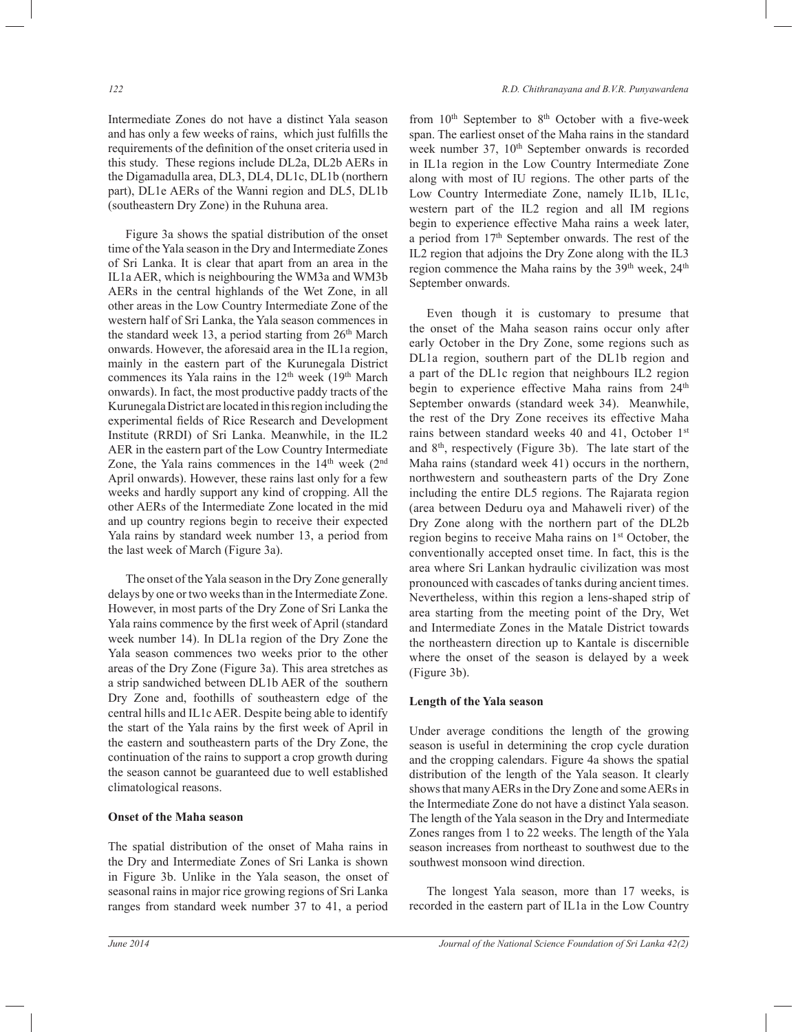Intermediate Zones do not have a distinct Yala season and has only a few weeks of rains, which just fulfills the requirements of the definition of the onset criteria used in this study. These regions include DL2a, DL2b AERs in the Digamadulla area, DL3, DL4, DL1c, DL1b (northern part), DL1e AERs of the Wanni region and DL5, DL1b (southeastern Dry Zone) in the Ruhuna area.

 Figure 3a shows the spatial distribution of the onset time of the Yala season in the Dry and Intermediate Zones of Sri Lanka. It is clear that apart from an area in the IL1a AER, which is neighbouring the WM3a and WM3b AERs in the central highlands of the Wet Zone, in all other areas in the Low Country Intermediate Zone of the western half of Sri Lanka, the Yala season commences in the standard week 13, a period starting from 26th March onwards. However, the aforesaid area in the IL1a region, mainly in the eastern part of the Kurunegala District commences its Yala rains in the  $12<sup>th</sup>$  week (19<sup>th</sup> March onwards). In fact, the most productive paddy tracts of the Kurunegala District are located in this region including the experimental fields of Rice Research and Development Institute (RRDI) of Sri Lanka. Meanwhile, in the IL2 AER in the eastern part of the Low Country Intermediate Zone, the Yala rains commences in the  $14<sup>th</sup>$  week  $(2<sup>nd</sup>$ April onwards). However, these rains last only for a few weeks and hardly support any kind of cropping. All the other AERs of the Intermediate Zone located in the mid and up country regions begin to receive their expected Yala rains by standard week number 13, a period from the last week of March (Figure 3a).

 The onset of the Yala season in the Dry Zone generally delays by one or two weeks than in the Intermediate Zone. However, in most parts of the Dry Zone of Sri Lanka the Yala rains commence by the first week of April (standard week number 14). In DL1a region of the Dry Zone the Yala season commences two weeks prior to the other areas of the Dry Zone (Figure 3a). This area stretches as a strip sandwiched between DL1b AER of the southern Dry Zone and, foothills of southeastern edge of the central hills and IL1c AER. Despite being able to identify the start of the Yala rains by the first week of April in the eastern and southeastern parts of the Dry Zone, the continuation of the rains to support a crop growth during the season cannot be guaranteed due to well established climatological reasons.

#### **Onset of the Maha season**

The spatial distribution of the onset of Maha rains in the Dry and Intermediate Zones of Sri Lanka is shown in Figure 3b. Unlike in the Yala season, the onset of seasonal rains in major rice growing regions of Sri Lanka ranges from standard week number 37 to 41, a period

from  $10<sup>th</sup>$  September to  $8<sup>th</sup>$  October with a five-week span. The earliest onset of the Maha rains in the standard week number 37, 10<sup>th</sup> September onwards is recorded in IL1a region in the Low Country Intermediate Zone along with most of IU regions. The other parts of the Low Country Intermediate Zone, namely IL1b, IL1c, western part of the IL2 region and all IM regions begin to experience effective Maha rains a week later, a period from 17th September onwards. The rest of the IL2 region that adjoins the Dry Zone along with the IL3 region commence the Maha rains by the  $39<sup>th</sup>$  week,  $24<sup>th</sup>$ September onwards.

 Even though it is customary to presume that the onset of the Maha season rains occur only after early October in the Dry Zone, some regions such as DL1a region, southern part of the DL1b region and a part of the DL1c region that neighbours IL2 region begin to experience effective Maha rains from 24<sup>th</sup> September onwards (standard week 34). Meanwhile, the rest of the Dry Zone receives its effective Maha rains between standard weeks 40 and 41, October 1st and 8th, respectively (Figure 3b). The late start of the Maha rains (standard week 41) occurs in the northern, northwestern and southeastern parts of the Dry Zone including the entire DL5 regions. The Rajarata region (area between Deduru oya and Mahaweli river) of the Dry Zone along with the northern part of the DL2b region begins to receive Maha rains on 1st October, the conventionally accepted onset time. In fact, this is the area where Sri Lankan hydraulic civilization was most pronounced with cascades of tanks during ancient times. Nevertheless, within this region a lens-shaped strip of area starting from the meeting point of the Dry, Wet and Intermediate Zones in the Matale District towards the northeastern direction up to Kantale is discernible where the onset of the season is delayed by a week (Figure 3b).

#### **Length of the Yala season**

Under average conditions the length of the growing season is useful in determining the crop cycle duration and the cropping calendars. Figure 4a shows the spatial distribution of the length of the Yala season. It clearly shows that many AERs in the Dry Zone and some AERs in the Intermediate Zone do not have a distinct Yala season. The length of the Yala season in the Dry and Intermediate Zones ranges from 1 to 22 weeks. The length of the Yala season increases from northeast to southwest due to the southwest monsoon wind direction.

 The longest Yala season, more than 17 weeks, is recorded in the eastern part of IL1a in the Low Country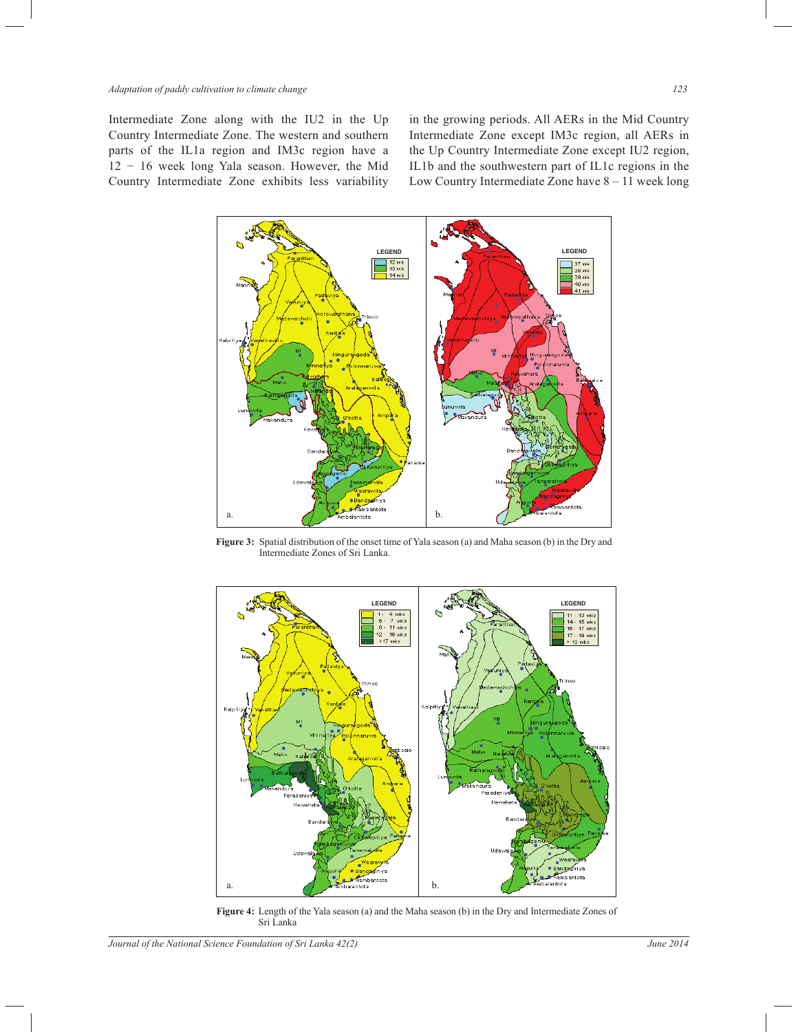Intermediate Zone along with the IU2 in the Up Country Intermediate Zone. The western and southern parts of the IL1a region and IM3c region have a 12 − 16 week long Yala season. However, the Mid Country Intermediate Zone exhibits less variability in the growing periods. All AERs in the Mid Country Intermediate Zone except IM3c region, all AERs in the Up Country Intermediate Zone except IU2 region, IL1b and the southwestern part of IL1c regions in the Low Country Intermediate Zone have 8 – 11 week long



**Figure 3:** Spatial distribution of the onset time of Yala season (a) and Maha season (b) in the Dry and Intermediate Zones of Sri Lanka.



**Figure 4:** Length of the Yala season (a) and the Maha season (b) in the Dry and Intermediate Zones of Sri Lanka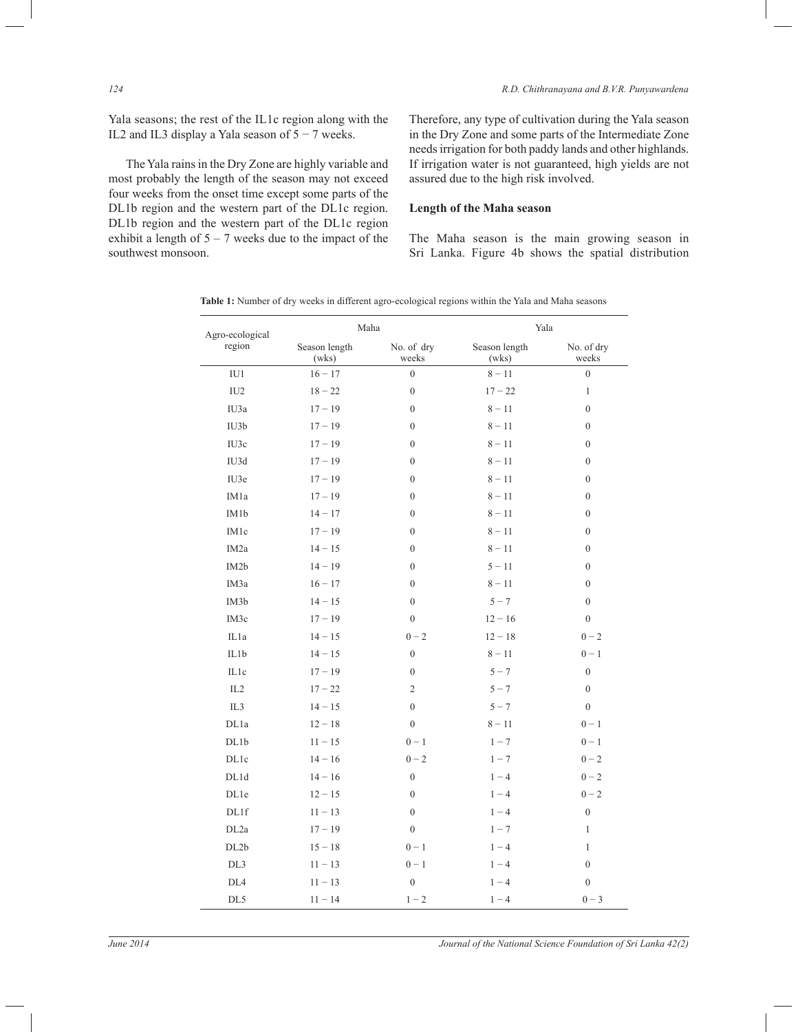Yala seasons; the rest of the IL1c region along with the IL2 and IL3 display a Yala season of 5 − 7 weeks.

 The Yala rains in the Dry Zone are highly variable and most probably the length of the season may not exceed four weeks from the onset time except some parts of the DL1b region and the western part of the DL1c region. DL1b region and the western part of the DL1c region exhibit a length of  $5 - 7$  weeks due to the impact of the southwest monsoon.

Therefore, any type of cultivation during the Yala season in the Dry Zone and some parts of the Intermediate Zone needs irrigation for both paddy lands and other highlands. If irrigation water is not guaranteed, high yields are not assured due to the high risk involved.

## **Length of the Maha season**

The Maha season is the main growing season in Sri Lanka. Figure 4b shows the spatial distribution

| Table 1: Number of dry weeks in different agro-ecological regions within the Yala and Maha seasons |  |  |
|----------------------------------------------------------------------------------------------------|--|--|
|----------------------------------------------------------------------------------------------------|--|--|

| Agro-ecological<br>region | Maha                   |                     | Yala                   |                     |
|---------------------------|------------------------|---------------------|------------------------|---------------------|
|                           | Season length<br>(wks) | No. of dry<br>weeks | Season length<br>(wks) | No. of dry<br>weeks |
| IU1                       | $16 - 17$              | $\overline{0}$      | $8 - 11$               | $\overline{0}$      |
| IU2                       | $18 - 22$              | $\boldsymbol{0}$    | $17 - 22$              | 1                   |
| IU3a                      | $17 - 19$              | $\mathbf{0}$        | $8 - 11$               | $\boldsymbol{0}$    |
| IU3b                      | $17 - 19$              | $\boldsymbol{0}$    | $8 - 11$               | $\boldsymbol{0}$    |
| IU3c                      | $17 - 19$              | $\boldsymbol{0}$    | $8 - 11$               | $\boldsymbol{0}$    |
| IU3d                      | $17 - 19$              | $\mathbf{0}$        | $8 - 11$               | $\boldsymbol{0}$    |
| IU3e                      | $17 - 19$              | $\boldsymbol{0}$    | $8 - 11$               | $\boldsymbol{0}$    |
| IM1a                      | $17 - 19$              | $\mathbf{0}$        | $8 - 11$               | $\mathbf{0}$        |
| IM1b                      | $14 - 17$              | $\boldsymbol{0}$    | $8 - 11$               | $\boldsymbol{0}$    |
| IM1c                      | $17 - 19$              | $\mathbf{0}$        | $8 - 11$               | $\boldsymbol{0}$    |
| IM <sub>2</sub> a         | $14 - 15$              | $\boldsymbol{0}$    | $8 - 11$               | $\boldsymbol{0}$    |
| IM <sub>2</sub> b         | $14 - 19$              | $\mathbf{0}$        | $5 - 11$               | $\boldsymbol{0}$    |
| IM <sub>3</sub> a         | $16 - 17$              | $\mathbf{0}$        | $8 - 11$               | $\boldsymbol{0}$    |
| IM <sub>3</sub> b         | $14 - 15$              | $\overline{0}$      | $5 - 7$                | $\mathbf{0}$        |
| IM3c                      | $17 - 19$              | $\boldsymbol{0}$    | $12 - 16$              | $\boldsymbol{0}$    |
| IL1a                      | $14 - 15$              | $0 - 2$             | $12 - 18$              | $0 - 2$             |
| IL1b                      | $14 - 15$              | $\boldsymbol{0}$    | $8 - 11$               | $0 - 1$             |
| IL1c                      | $17 - 19$              | $\mathbf{0}$        | $5 - 7$                | $\overline{0}$      |
| IL2                       | $17 - 22$              | $\overline{2}$      | $5 - 7$                | $\boldsymbol{0}$    |
| IL <sub>3</sub>           | $14 - 15$              | $\theta$            | $5 - 7$                | $\overline{0}$      |
| DL1a                      | $12 - 18$              | $\mathbf{0}$        | $8 - 11$               | $0 - 1$             |
| DL1b                      | $11 - 15$              | $0 - 1$             | $1 - 7$                | $0 - 1$             |
| <b>DL1c</b>               | $14 - 16$              | $0 - 2$             | $1 - 7$                | $0 - 2$             |
| DL1d                      | $14 - 16$              | $\boldsymbol{0}$    | $1 - 4$                | $0 - 2$             |
| DL1e                      | $12 - 15$              | $\mathbf{0}$        | $1 - 4$                | $0 - 2$             |
| DL1f                      | $11 - 13$              | $\boldsymbol{0}$    | $1 - 4$                | $\boldsymbol{0}$    |
| DL <sub>2a</sub>          | $17 - 19$              | $\mathbf{0}$        | $1 - 7$                | $\mathbf{1}$        |
| DL2b                      | $15 - 18$              | $0 - 1$             | $1 - 4$                | 1                   |
| DL3                       | $11 - 13$              | $0 - 1$             | $1 - 4$                | $\boldsymbol{0}$    |
| DL <sub>4</sub>           | $11 - 13$              | $\boldsymbol{0}$    | $1 - 4$                | $\boldsymbol{0}$    |
| DL5                       | $11 - 14$              | $1 - 2$             | $1 - 4$                | $0 - 3$             |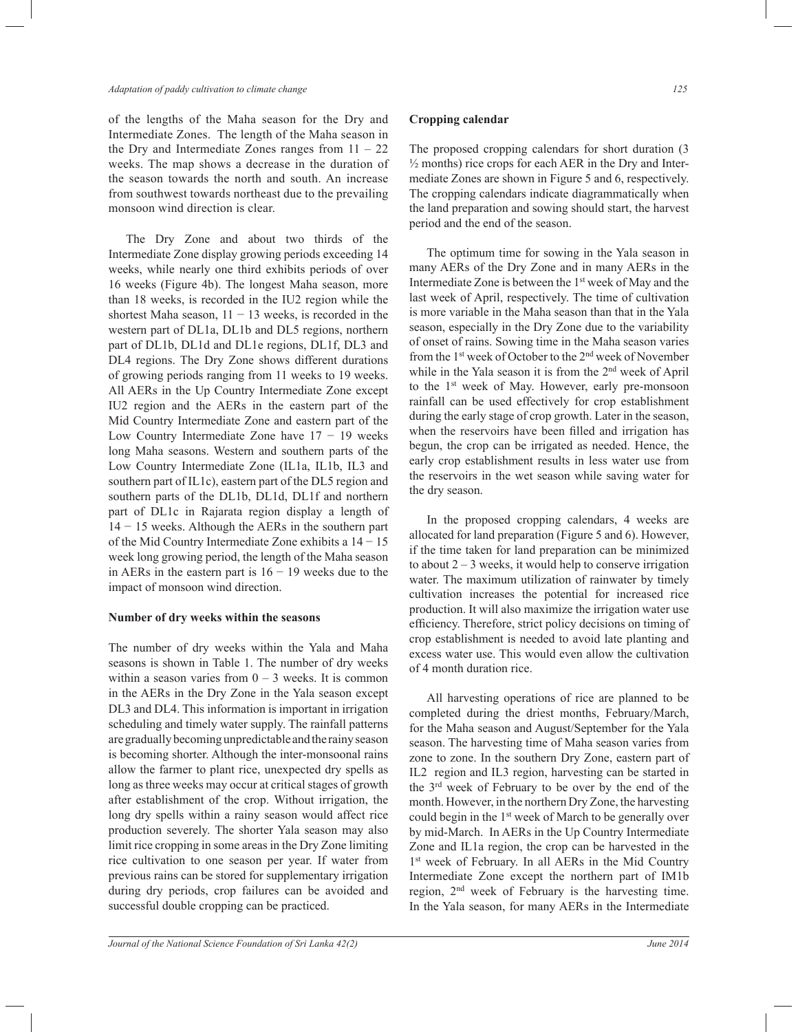#### *Adaptation of paddy cultivation to climate change 125*

of the lengths of the Maha season for the Dry and Intermediate Zones. The length of the Maha season in the Dry and Intermediate Zones ranges from  $11 - 22$ weeks. The map shows a decrease in the duration of the season towards the north and south. An increase from southwest towards northeast due to the prevailing monsoon wind direction is clear.

 The Dry Zone and about two thirds of the Intermediate Zone display growing periods exceeding 14 weeks, while nearly one third exhibits periods of over 16 weeks (Figure 4b). The longest Maha season, more than 18 weeks, is recorded in the IU2 region while the shortest Maha season,  $11 - 13$  weeks, is recorded in the western part of DL1a, DL1b and DL5 regions, northern part of DL1b, DL1d and DL1e regions, DL1f, DL3 and DL4 regions. The Dry Zone shows different durations of growing periods ranging from 11 weeks to 19 weeks. All AERs in the Up Country Intermediate Zone except IU2 region and the AERs in the eastern part of the Mid Country Intermediate Zone and eastern part of the Low Country Intermediate Zone have 17 − 19 weeks long Maha seasons. Western and southern parts of the Low Country Intermediate Zone (IL1a, IL1b, IL3 and southern part of IL1c), eastern part of the DL5 region and southern parts of the DL1b, DL1d, DL1f and northern part of DL1c in Rajarata region display a length of 14 − 15 weeks. Although the AERs in the southern part of the Mid Country Intermediate Zone exhibits a 14 − 15 week long growing period, the length of the Maha season in AERs in the eastern part is  $16 - 19$  weeks due to the impact of monsoon wind direction.

#### **Number of dry weeks within the seasons**

The number of dry weeks within the Yala and Maha seasons is shown in Table 1. The number of dry weeks within a season varies from  $0 - 3$  weeks. It is common in the AERs in the Dry Zone in the Yala season except DL3 and DL4. This information is important in irrigation scheduling and timely water supply. The rainfall patterns are gradually becoming unpredictable and the rainy season is becoming shorter. Although the inter-monsoonal rains allow the farmer to plant rice, unexpected dry spells as long as three weeks may occur at critical stages of growth after establishment of the crop. Without irrigation, the long dry spells within a rainy season would affect rice production severely. The shorter Yala season may also limit rice cropping in some areas in the Dry Zone limiting rice cultivation to one season per year. If water from previous rains can be stored for supplementary irrigation during dry periods, crop failures can be avoided and successful double cropping can be practiced.

**Cropping calendar**

The proposed cropping calendars for short duration (3  $\frac{1}{2}$  months) rice crops for each AER in the Dry and Intermediate Zones are shown in Figure 5 and 6, respectively. The cropping calendars indicate diagrammatically when the land preparation and sowing should start, the harvest period and the end of the season.

 The optimum time for sowing in the Yala season in many AERs of the Dry Zone and in many AERs in the Intermediate Zone is between the 1<sup>st</sup> week of May and the last week of April, respectively. The time of cultivation is more variable in the Maha season than that in the Yala season, especially in the Dry Zone due to the variability of onset of rains. Sowing time in the Maha season varies from the 1st week of October to the 2nd week of November while in the Yala season it is from the 2<sup>nd</sup> week of April to the 1<sup>st</sup> week of May. However, early pre-monsoon rainfall can be used effectively for crop establishment during the early stage of crop growth. Later in the season, when the reservoirs have been filled and irrigation has begun, the crop can be irrigated as needed. Hence, the early crop establishment results in less water use from the reservoirs in the wet season while saving water for the dry season.

 In the proposed cropping calendars, 4 weeks are allocated for land preparation (Figure 5 and 6). However, if the time taken for land preparation can be minimized to about  $2 - 3$  weeks, it would help to conserve irrigation water. The maximum utilization of rainwater by timely cultivation increases the potential for increased rice production. It will also maximize the irrigation water use efficiency. Therefore, strict policy decisions on timing of crop establishment is needed to avoid late planting and excess water use. This would even allow the cultivation of 4 month duration rice.

 All harvesting operations of rice are planned to be completed during the driest months, February/March, for the Maha season and August/September for the Yala season. The harvesting time of Maha season varies from zone to zone. In the southern Dry Zone, eastern part of IL2 region and IL3 region, harvesting can be started in the 3rd week of February to be over by the end of the month. However, in the northern Dry Zone, the harvesting could begin in the 1<sup>st</sup> week of March to be generally over by mid-March. In AERs in the Up Country Intermediate Zone and IL1a region, the crop can be harvested in the 1 st week of February. In all AERs in the Mid Country Intermediate Zone except the northern part of IM1b region, 2nd week of February is the harvesting time. In the Yala season, for many AERs in the Intermediate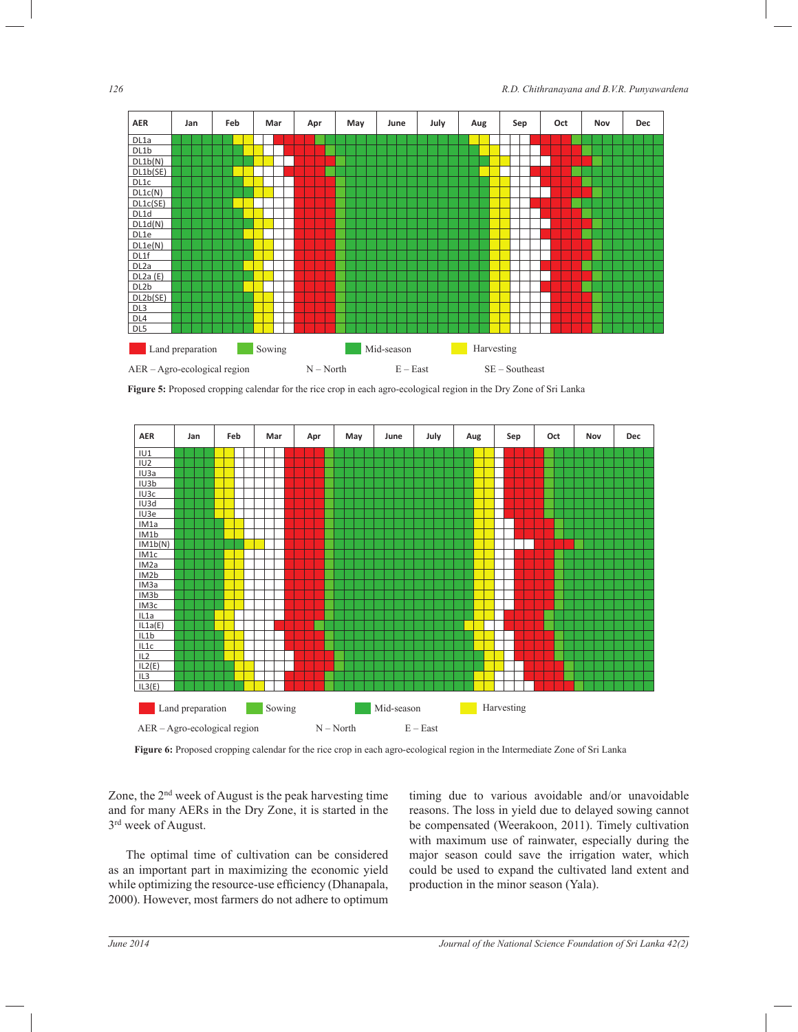

**Figure 5:** Proposed cropping calendar for the rice crop in each agro-ecological region in the Dry Zone of Sri Lanka



**Figure 6:** Proposed cropping calendar for the rice crop in each agro-ecological region in the Intermediate Zone of Sri Lanka

Zone, the 2nd week of August is the peak harvesting time and for many AERs in the Dry Zone, it is started in the 3 rd week of August.

 The optimal time of cultivation can be considered as an important part in maximizing the economic yield while optimizing the resource-use efficiency (Dhanapala, 2000). However, most farmers do not adhere to optimum

timing due to various avoidable and/or unavoidable reasons. The loss in yield due to delayed sowing cannot be compensated (Weerakoon, 2011). Timely cultivation with maximum use of rainwater, especially during the major season could save the irrigation water, which could be used to expand the cultivated land extent and production in the minor season (Yala).